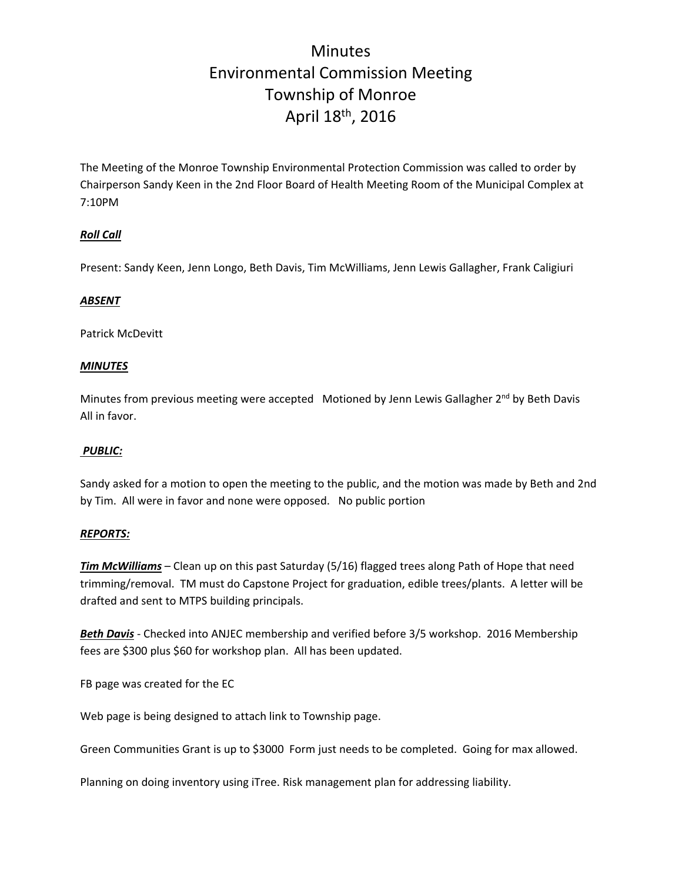# **Minutes** Environmental Commission Meeting Township of Monroe April 18th, 2016

The Meeting of the Monroe Township Environmental Protection Commission was called to order by Chairperson Sandy Keen in the 2nd Floor Board of Health Meeting Room of the Municipal Complex at 7:10PM

### *Roll Call*

Present: Sandy Keen, Jenn Longo, Beth Davis, Tim McWilliams, Jenn Lewis Gallagher, Frank Caligiuri

### *ABSENT*

Patrick McDevitt

#### *MINUTES*

Minutes from previous meeting were accepted Motioned by Jenn Lewis Gallagher 2<sup>nd</sup> by Beth Davis All in favor.

#### *PUBLIC:*

Sandy asked for a motion to open the meeting to the public, and the motion was made by Beth and 2nd by Tim. All were in favor and none were opposed. No public portion

#### *REPORTS:*

*Tim McWilliams* – Clean up on this past Saturday (5/16) flagged trees along Path of Hope that need trimming/removal. TM must do Capstone Project for graduation, edible trees/plants. A letter will be drafted and sent to MTPS building principals.

*Beth Davis* ‐ Checked into ANJEC membership and verified before 3/5 workshop. 2016 Membership fees are \$300 plus \$60 for workshop plan. All has been updated.

FB page was created for the EC

Web page is being designed to attach link to Township page.

Green Communities Grant is up to \$3000 Form just needs to be completed. Going for max allowed.

Planning on doing inventory using iTree. Risk management plan for addressing liability.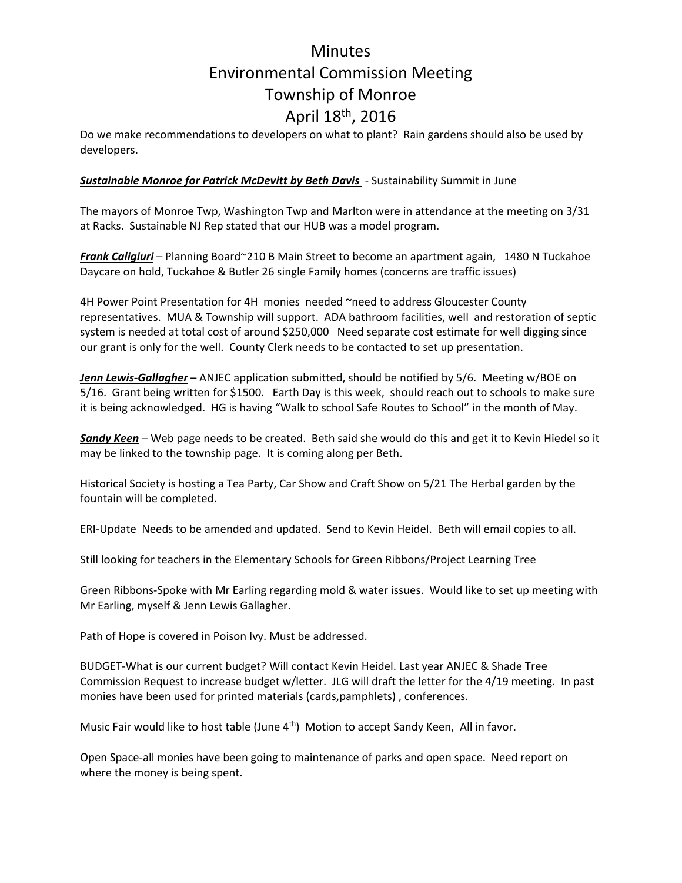# **Minutes** Environmental Commission Meeting Township of Monroe April 18th, 2016

Do we make recommendations to developers on what to plant? Rain gardens should also be used by developers.

### *Sustainable Monroe for Patrick McDevitt by Beth Davis* ‐ Sustainability Summit in June

The mayors of Monroe Twp, Washington Twp and Marlton were in attendance at the meeting on 3/31 at Racks. Sustainable NJ Rep stated that our HUB was a model program.

*Frank Caligiuri* – Planning Board~210 B Main Street to become an apartment again, 1480 N Tuckahoe Daycare on hold, Tuckahoe & Butler 26 single Family homes (concerns are traffic issues)

4H Power Point Presentation for 4H monies needed ~need to address Gloucester County representatives. MUA & Township will support. ADA bathroom facilities, well and restoration of septic system is needed at total cost of around \$250,000 Need separate cost estimate for well digging since our grant is only for the well. County Clerk needs to be contacted to set up presentation.

*Jenn Lewis‐Gallagher* – ANJEC application submitted, should be notified by 5/6. Meeting w/BOE on 5/16. Grant being written for \$1500. Earth Day is this week, should reach out to schools to make sure it is being acknowledged. HG is having "Walk to school Safe Routes to School" in the month of May.

*Sandy Keen* – Web page needs to be created. Beth said she would do this and get it to Kevin Hiedel so it may be linked to the township page. It is coming along per Beth.

Historical Society is hosting a Tea Party, Car Show and Craft Show on 5/21 The Herbal garden by the fountain will be completed.

ERI‐Update Needs to be amended and updated. Send to Kevin Heidel. Beth will email copies to all.

Still looking for teachers in the Elementary Schools for Green Ribbons/Project Learning Tree

Green Ribbons‐Spoke with Mr Earling regarding mold & water issues. Would like to set up meeting with Mr Earling, myself & Jenn Lewis Gallagher.

Path of Hope is covered in Poison Ivy. Must be addressed.

BUDGET‐What is our current budget? Will contact Kevin Heidel. Last year ANJEC & Shade Tree Commission Request to increase budget w/letter. JLG will draft the letter for the 4/19 meeting. In past monies have been used for printed materials (cards,pamphlets) , conferences.

Music Fair would like to host table (June 4<sup>th</sup>) Motion to accept Sandy Keen, All in favor.

Open Space‐all monies have been going to maintenance of parks and open space. Need report on where the money is being spent.